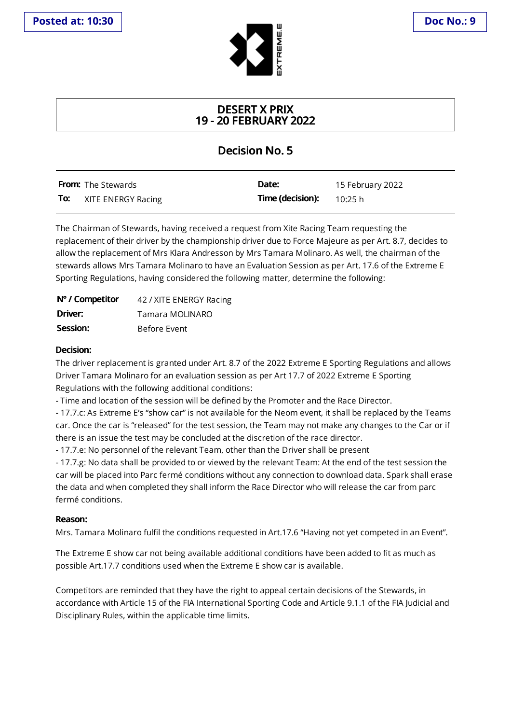

## **DESERT X PRIX 19 - 20 FEBRUARY 2022**

## **Decision No. 5**

|     | <b>From:</b> The Stewards | Date:                             | 15 February 2022 |
|-----|---------------------------|-----------------------------------|------------------|
| To: | XITE ENERGY Racing        | <b>Time (decision):</b> $10:25 h$ |                  |

The Chairman of Stewards, having received a request from Xite Racing Team requesting the replacement of their driver by the championship driver due to Force Majeure as per Art. 8.7, decides to allow the replacement of Mrs Klara Andresson by Mrs Tamara Molinaro. As well, the chairman of the stewards allows Mrs Tamara Molinaro to have an Evaluation Session as per Art. 17.6 of the Extreme E Sporting Regulations, having considered the following matter, determine the following:

| N° / Competitor | 42 / XITE ENERGY Racing |
|-----------------|-------------------------|
| Driver:         | Tamara MOLINARO         |
| Session:        | Before Event            |

## **Decision:**

The driver replacement is granted under Art. 8.7 of the 2022 Extreme E Sporting Regulations and allows Driver Tamara Molinaro for an evaluation session as per Art 17.7 of 2022 Extreme E Sporting Regulations with the following additional conditions:

- Time and location of the session will be defined by the Promoter and the Race Director.

- 17.7.c: As Extreme E's "show car" is not available for the Neom event, it shall be replaced by the Teams car. Once the car is "released" for the test session, the Team may not make any changes to the Car or if there is an issue the test may be concluded at the discretion of the race director.

- 17.7.e: No personnel of the relevant Team, other than the Driver shall be present

- 17.7.g: No data shall be provided to or viewed by the relevant Team: At the end of the testsession the car will be placed into Parc fermé conditions without any connection to download data. Sparkshall erase the data and when completed they shall inform the Race Director who will release the car from parc fermé conditions.

## **Reason:**

Mrs. Tamara Molinaro fulfil the conditions requested in Art.17.6 "Having notyetcompeted in an Event".

The Extreme E show car not being available additional conditions have been added to fit as much as possible Art.17.7 conditions used when the Extreme E show car is available.

Competitors are reminded that they have the right to appeal certain decisions of the Stewards, in accordance with Article 15 of the FIA International Sporting Code and Article 9.1.1 of the FIA Judicial and Disciplinary Rules, within the applicable time limits.